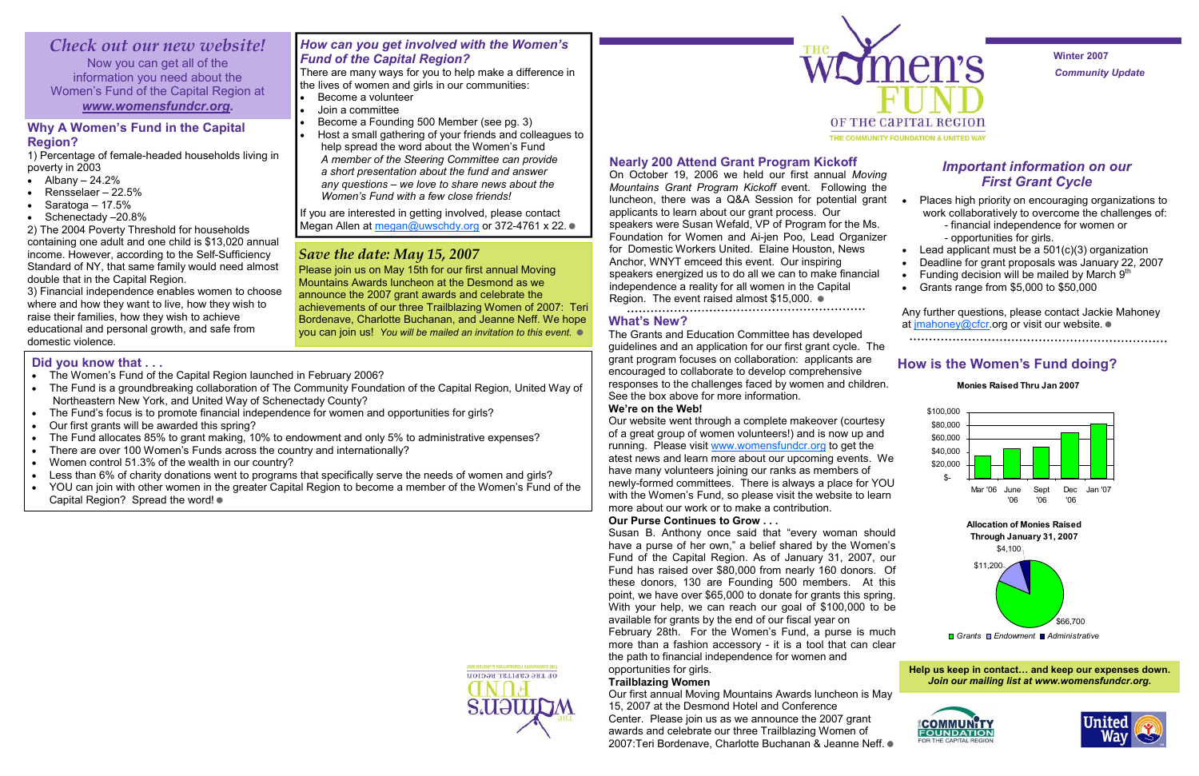*Community Update*  **Winter 2007** 

## **Nearly 200 Attend Grant Program Kickoff**

On October 19, 2006 we held our first annual *Moving Mountains Grant Program Kickoff* event. Following the luncheon, there was a Q&A Session for potential grant applicants to learn about our grant process. Our speakers were Susan Wefald, VP of Program for the Ms. Foundation for Women and Ai-jen Poo, Lead Organizer for Domestic Workers United. Elaine Houston, News Anchor, WNYT emceed this event. Our inspiring speakers energized us to do all we can to make financial independence a reality for all women in the Capital Region. The event raised almost \$15,000.

## **What's New?**

The Grants and Education Committee has developed guidelines and an application for our first grant cycle. The grant program focuses on collaboration: applicants are encouraged to collaborate to develop comprehensive responses to the challenges faced by women and children. See the box above for more information.

## **We're on the Web!**

Our website went through a complete makeover (courtesy of a great group of women volunteers!) and is now up and running. Please visit www.womensfundcr.org to get the atest news and learn more about our upcoming events. We have many volunteers joining our ranks as members of newly-formed committees. There is always a place for YOU with the Women's Fund, so please visit the website to learn more about our work or to make a contribution.

## **Our Purse Continues to Grow . . .**

Susan B. Anthony once said that "every woman should have a purse of her own," a belief shared by the Women's Fund of the Capital Region. As of January 31, 2007, our Fund has raised over \$80,000 from nearly 160 donors. Of these donors, 130 are Founding 500 members. At this point, we have over \$65,000 to donate for grants this spring. With your help, we can reach our goal of \$100,000 to be available for grants by the end of our fiscal year on February 28th. For the Women's Fund, a purse is much more than a fashion accessory - it is a tool that can clear the path to financial independence for women and opportunities for girls.

Any further questions, please contact Jackie Mahoney at jmahoney@cfcr.org or visit our website.  $\bullet$ 

## **Trailblazing Women**

Our first annual Moving Mountains Awards luncheon is May 15, 2007 at the Desmond Hotel and Conference Center. Please join us as we announce the 2007 grant awards and celebrate our three Trailblazing Women of 2007:Teri Bordenave, Charlotte Buchanan & Jeanne Neff.



If you are interested in getting involved, please contact Megan Allen at megan@uwschdy.org or 372-4761 x 22. ●

## **Why A Women's Fund in the Capital Region?**

1) Percentage of female-headed households living in poverty in 2003

- Albany  $-24.2%$
- Rensselaer 22.5%
- Saratoga  $17.5%$
- Schenectady -20.8%

- The Women's Fund of the Capital Region launched in February 2006?
- The Fund is a groundbreaking collaboration of The Community Foundation of the Capital Region, United Way of Northeastern New York, and United Way of Schenectady County?
- The Fund's focus is to promote financial independence for women and opportunities for girls?
- Our first grants will be awarded this spring?
- The Fund allocates 85% to grant making, 10% to endowment and only 5% to administrative expenses?
- There are over 100 Women's Funds across the country and internationally?
- Women control 51.3% of the wealth in our country?
- Less than 6% of charity donations went to programs that specifically serve the needs of women and girls?
- YOU can join with other women in the greater Capital Region to become a member of the Women's Fund of the Capital Region? Spread the word!  $\bullet$

# OF THE CAPITAL REGION



2) The 2004 Poverty Threshold for households containing one adult and one child is \$13,020 annual income. However, according to the Self-Sufficiency Standard of NY, that same family would need almost double that in the Capital Region.

3) Financial independence enables women to choose where and how they want to live, how they wish to raise their families, how they wish to achieve educational and personal growth, and safe from domestic violence.

## *Save the date: May 15, 2007*

Please join us on May 15th for our first annual Moving Mountains Awards luncheon at the Desmond as we announce the 2007 grant awards and celebrate the achievements of our three Trailblazing Women of 2007: Teri Bordenave, Charlotte Buchanan, and Jeanne Neff. We hope you can join us! *You will be mailed an invitation to this event.* 

## *Important information on our First Grant Cycle*

#### • Places high priority on encouraging organizations to work collaboratively to overcome the challenges of: - financial independence for women or

- 
- 
- opportunities for girls.
- Lead applicant must be a  $501(c)(3)$  organization
- Deadline for grant proposals was January 22, 2007
- Funding decision will be mailed by March  $9<sup>th</sup>$
- Grants range from \$5,000 to \$50,000

## **How is the Women's Fund doing?**

# *Check out our new website!*

Now you can get all of the information you need about the Women's Fund of the Capital Region at *www.womensfundcr.org.* 

## *How can you get involved with the Women's Fund of the Capital Region?*

There are many ways for you to help make a difference in the lives of women and girls in our communities:

- Become a volunteer
- Join a committee
- Become a Founding 500 Member (see pg. 3)
- Host a small gathering of your friends and colleagues to help spread the word about the Women's Fund  *A member of the Steering Committee can provide a short presentation about the fund and answer any questions – we love to share news about the Women's Fund with a few close friends!*







## **Did you know that . . .**